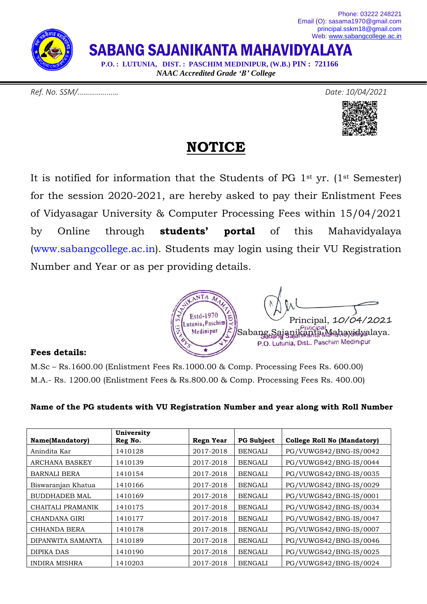SABANG SAJANIKANTA MAHAVIDYALAYA

 **P.O. : LUTUNIA, DIST. : PASCHIM MEDINIPUR, (W.B.) PIN : 721166** *NAAC Accredited Grade 'B' College*

*Ref. No. SSM/………………… Date: 10/04/2021*





#### **NOTICE**

It is notified for information that the Students of PG 1st yr. (1st Semester) for the session 2020-2021, are hereby asked to pay their Enlistment Fees of Vidyasagar University & Computer Processing Fees within 15/04/2021 by Online through **students' portal** of this Mahavidyalaya [\(www.sabangcollege.ac.in\)](http://www.sabangcollege.ac.in/). Students may login using their VU Registration Number and Year or as per providing details.



#### **Fees details:**

M.Sc – Rs.1600.00 (Enlistment Fees Rs.1000.00 & Comp. Processing Fees Rs. 600.00) M.A.- Rs. 1200.00 (Enlistment Fees & Rs.800.00 & Comp. Processing Fees Rs. 400.00)

| Name(Mandatory)      | University<br>Reg No. | <b>Regn Year</b> | <b>PG Subject</b> | <b>College Roll No (Mandatory)</b> |
|----------------------|-----------------------|------------------|-------------------|------------------------------------|
| Anindita Kar         | 1410128               | 2017-2018        | <b>BENGALI</b>    | PG/VUWGS42/BNG-IS/0042             |
| ARCHANA BASKEY       | 1410139               | 2017-2018        | <b>BENGALI</b>    | PG/VUWGS42/BNG-IS/0044             |
| BARNALI BERA         | 1410154               | 2017-2018        | <b>BENGALI</b>    | PG/VUWGS42/BNG-IS/0035             |
| Biswaranjan Khatua   | 1410166               | 2017-2018        | <b>BENGALI</b>    | PG/VUWGS42/BNG-IS/0029             |
| <b>BUDDHADEB MAL</b> | 1410169               | 2017-2018        | <b>BENGALI</b>    | PG/VUWGS42/BNG-IS/0001             |
| CHAITALI PRAMANIK    | 1410175               | 2017-2018        | <b>BENGALI</b>    | PG/VUWGS42/BNG-IS/0034             |
| CHANDANA GIRI        | 1410177               | 2017-2018        | <b>BENGALI</b>    | PG/VUWGS42/BNG-IS/0047             |
| CHHANDA BERA         | 1410178               | 2017-2018        | <b>BENGALI</b>    | PG/VUWGS42/BNG-IS/0007             |
| DIPANWITA SAMANTA    | 1410189               | 2017-2018        | <b>BENGALI</b>    | PG/VUWGS42/BNG-IS/0046             |
| DIPIKA DAS           | 1410190               | 2017-2018        | <b>BENGALI</b>    | PG/VUWGS42/BNG-IS/0025             |
| <b>INDIRA MISHRA</b> | 1410203               | 2017-2018        | <b>BENGALI</b>    | PG/VUWGS42/BNG-IS/0024             |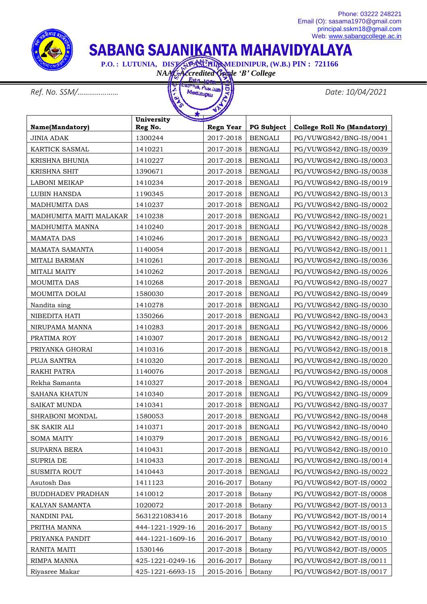

## SABANG SAJANIKANTA MAHAVIDYALAYA

 **P.O. : LUTUNIA, DIST. : PASCHIMMEDINIPUR, (W.B.) PIN : 721166** 

*NAAC Accredited Grade 'B' College*



|                          | University       | <b>Consumers</b> |                   |                                    |
|--------------------------|------------------|------------------|-------------------|------------------------------------|
| Name(Mandatory)          | Reg No.          | <b>Regn Year</b> | <b>PG Subject</b> | <b>College Roll No (Mandatory)</b> |
| <b>JINIA ADAK</b>        | 1300244          | 2017-2018        | <b>BENGALI</b>    | PG/VUWGS42/BNG-IS/0041             |
| KARTICK SASMAL           | 1410221          | 2017-2018        | <b>BENGALI</b>    | PG/VUWGS42/BNG-IS/0039             |
| <b>KRISHNA BHUNIA</b>    | 1410227          | 2017-2018        | <b>BENGALI</b>    | PG/VUWGS42/BNG-IS/0003             |
| KRISHNA SHIT             | 1390671          | 2017-2018        | <b>BENGALI</b>    | PG/VUWGS42/BNG-IS/0038             |
| LABONI MEIKAP            | 1410234          | 2017-2018        | <b>BENGALI</b>    | PG/VUWGS42/BNG-IS/0019             |
| LUBIN HANSDA             | 1190345          | 2017-2018        | <b>BENGALI</b>    | PG/VUWGS42/BNG-IS/0013             |
| MADHUMITA DAS            | 1410237          | 2017-2018        | <b>BENGALI</b>    | PG/VUWGS42/BNG-IS/0002             |
| MADHUMITA MAITI MALAKAR  | 1410238          | 2017-2018        | <b>BENGALI</b>    | PG/VUWGS42/BNG-IS/0021             |
| MADHUMITA MANNA          | 1410240          | 2017-2018        | <b>BENGALI</b>    | PG/VUWGS42/BNG-IS/0028             |
| <b>MAMATA DAS</b>        | 1410246          | 2017-2018        | <b>BENGALI</b>    | PG/VUWGS42/BNG-IS/0023             |
| MAMATA SAMANTA           | 1140054          | 2017-2018        | <b>BENGALI</b>    | PG/VUWGS42/BNG-IS/0011             |
| <b>MITALI BARMAN</b>     | 1410261          | 2017-2018        | <b>BENGALI</b>    | PG/VUWGS42/BNG-IS/0036             |
| <b>MITALI MAITY</b>      | 1410262          | 2017-2018        | <b>BENGALI</b>    | PG/VUWGS42/BNG-IS/0026             |
| MOUMITA DAS              | 1410268          | 2017-2018        | <b>BENGALI</b>    | PG/VUWGS42/BNG-IS/0027             |
| <b>MOUMITA DOLAI</b>     | 1580030          | 2017-2018        | <b>BENGALI</b>    | PG/VUWGS42/BNG-IS/0049             |
| Nandita sing             | 1410278          | 2017-2018        | <b>BENGALI</b>    | PG/VUWGS42/BNG-IS/0030             |
| NIBEDITA HATI            | 1350266          | 2017-2018        | <b>BENGALI</b>    | PG/VUWGS42/BNG-IS/0043             |
| NIRUPAMA MANNA           | 1410283          | 2017-2018        | <b>BENGALI</b>    | PG/VUWGS42/BNG-IS/0006             |
| PRATIMA ROY              | 1410307          | 2017-2018        | <b>BENGALI</b>    | PG/VUWGS42/BNG-IS/0012             |
| PRIYANKA GHORAI          | 1410316          | 2017-2018        | <b>BENGALI</b>    | PG/VUWGS42/BNG-IS/0018             |
| PUJA SANTRA              | 1410320          | 2017-2018        | <b>BENGALI</b>    | PG/VUWGS42/BNG-IS/0020             |
| RAKHI PATRA              | 1140076          | 2017-2018        | <b>BENGALI</b>    | PG/VUWGS42/BNG-IS/0008             |
| Rekha Samanta            | 1410327          | 2017-2018        | <b>BENGALI</b>    | PG/VUWGS42/BNG-IS/0004             |
| <b>SAHANA KHATUN</b>     | 1410340          | 2017-2018        | <b>BENGALI</b>    | PG/VUWGS42/BNG-IS/0009             |
| <b>SAIKAT MUNDA</b>      | 1410341          | 2017-2018        | <b>BENGALI</b>    | PG/VUWGS42/BNG-IS/0037             |
| SHRABONI MONDAL          | 1580053          | 2017-2018        | <b>BENGALI</b>    | PG/VUWGS42/BNG-IS/0048             |
| <b>SK SAKIR ALI</b>      | 1410371          | 2017-2018        | <b>BENGALI</b>    | PG/VUWGS42/BNG-IS/0040             |
| <b>SOMA MAITY</b>        | 1410379          | 2017-2018        | <b>BENGALI</b>    | PG/VUWGS42/BNG-IS/0016             |
| SUPARNA BERA             | 1410431          | 2017-2018        | <b>BENGALI</b>    | PG/VUWGS42/BNG-IS/0010             |
| <b>SUPRIA DE</b>         | 1410433          | 2017-2018        | <b>BENGALI</b>    | PG/VUWGS42/BNG-IS/0014             |
| <b>SUSMITA ROUT</b>      | 1410443          | 2017-2018        | <b>BENGALI</b>    | PG/VUWGS42/BNG-IS/0022             |
| Asutosh Das              | 1411123          | 2016-2017        | Botany            | PG/VUWGS42/BOT-IS/0002             |
| <b>BUDDHADEV PRADHAN</b> | 1410012          | 2017-2018        | Botany            | PG/VUWGS42/BOT-IS/0008             |
| KALYAN SAMANTA           | 1020072          | 2017-2018        | Botany            | PG/VUWGS42/BOT-IS/0013             |
| NANDINI PAL              | 5631221083416    | 2017-2018        | Botany            | PG/VUWGS42/BOT-IS/0014             |
| PRITHA MANNA             | 444-1221-1929-16 | 2016-2017        | Botany            | PG/VUWGS42/BOT-IS/0015             |
| PRIYANKA PANDIT          | 444-1221-1609-16 | 2016-2017        | Botany            | PG/VUWGS42/BOT-IS/0010             |
| RANITA MAITI             | 1530146          | 2017-2018        | Botany            | PG/VUWGS42/BOT-IS/0005             |
| RIMPA MANNA              | 425-1221-0249-16 | 2016-2017        | Botany            | PG/VUWGS42/BOT-IS/0011             |
| Riyasree Makar           | 425-1221-6693-15 | 2015-2016        | Botany            | PG/VUWGS42/BOT-IS/0017             |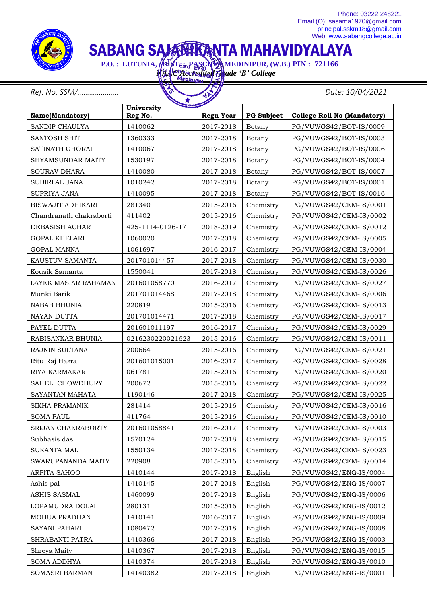

# SABANG SAJAMIKANTA MAHAVIDYALAYA

 **P.O. : LUTUNIA, PIST<sub>ESto</sub>PASCHEN MEDINIPUR, (W.B.) PIN : 721166** *NAAC Accredited Grade 'B' College*

*Ref. No. SSM/………………… Date: 10/04/2021*

|                          | University       |                  |                   |                                    |
|--------------------------|------------------|------------------|-------------------|------------------------------------|
| Name(Mandatory)          | Reg No.          | <b>Regn Year</b> | <b>PG Subject</b> | <b>College Roll No (Mandatory)</b> |
| SANDIP CHAULYA           | 1410062          | 2017-2018        | Botany            | PG/VUWGS42/BOT-IS/0009             |
| <b>SANTOSH SHIT</b>      | 1360333          | 2017-2018        | Botany            | PG/VUWGS42/BOT-IS/0003             |
| SATINATH GHORAI          | 1410067          | 2017-2018        | Botany            | PG/VUWGS42/BOT-IS/0006             |
| <b>SHYAMSUNDAR MAITY</b> | 1530197          | 2017-2018        | Botany            | PG/VUWGS42/BOT-IS/0004             |
| <b>SOURAV DHARA</b>      | 1410080          | 2017-2018        | Botany            | PG/VUWGS42/BOT-IS/0007             |
| <b>SUBIRLAL JANA</b>     | 1010242          | 2017-2018        | Botany            | PG/VUWGS42/BOT-IS/0001             |
| <b>SUPRIYA JANA</b>      | 1410095          | 2017-2018        | Botany            | PG/VUWGS42/BOT-IS/0016             |
| <b>BISWAJIT ADHIKARI</b> | 281340           | 2015-2016        | Chemistry         | PG/VUWGS42/CEM-IS/0001             |
| Chandranath chakraborti  | 411402           | 2015-2016        | Chemistry         | PG/VUWGS42/CEM-IS/0002             |
| DEBASISH ACHAR           | 425-1114-0126-17 | 2018-2019        | Chemistry         | PG/VUWGS42/CEM-IS/0012             |
| <b>GOPAL KHELARI</b>     | 1060020          | 2017-2018        | Chemistry         | PG/VUWGS42/CEM-IS/0005             |
| <b>GOPAL MANNA</b>       | 1061697          | 2016-2017        | Chemistry         | PG/VUWGS42/CEM-IS/0004             |
| KAUSTUV SAMANTA          | 201701014457     | 2017-2018        | Chemistry         | PG/VUWGS42/CEM-IS/0030             |
| Kousik Samanta           | 1550041          | 2017-2018        | Chemistry         | PG/VUWGS42/CEM-IS/0026             |
| LAYEK MASIAR RAHAMAN     | 201601058770     | 2016-2017        | Chemistry         | PG/VUWGS42/CEM-IS/0027             |
| Munki Barik              | 201701014468     | 2017-2018        | Chemistry         | PG/VUWGS42/CEM-IS/0006             |
| <b>NABAB BHUNIA</b>      | 220819           | 2015-2016        | Chemistry         | PG/VUWGS42/CEM-IS/0013             |
| NAYAN DUTTA              | 201701014471     | 2017-2018        | Chemistry         | PG/VUWGS42/CEM-IS/0017             |
| PAYEL DUTTA              | 201601011197     | 2016-2017        | Chemistry         | PG/VUWGS42/CEM-IS/0029             |
| RABISANKAR BHUNIA        | 0216230220021623 | 2015-2016        | Chemistry         | PG/VUWGS42/CEM-IS/0011             |
| RAJNIN SULTANA           | 200664           | 2015-2016        | Chemistry         | PG/VUWGS42/CEM-IS/0021             |
| Ritu Raj Hazra           | 201601015001     | 2016-2017        | Chemistry         | PG/VUWGS42/CEM-IS/0028             |
| RIYA KARMAKAR            | 061781           | 2015-2016        | Chemistry         | PG/VUWGS42/CEM-IS/0020             |
| SAHELI CHOWDHURY         | 200672           | 2015-2016        | Chemistry         | PG/VUWGS42/CEM-IS/0022             |
| SAYANTAN MAHATA          | 1190146          | 2017-2018        | Chemistry         | PG/VUWGS42/CEM-IS/0025             |
| <b>SIKHA PRAMANIK</b>    | 281414           | 2015-2016        | Chemistry         | PG/VUWGS42/CEM-IS/0016             |
| <b>SOMA PAUL</b>         | 411764           | 2015-2016        | Chemistry         | PG/VUWGS42/CEM-IS/0010             |
| SRIJAN CHAKRABORTY       | 201601058841     | 2016-2017        | Chemistry         | PG/VUWGS42/CEM-IS/0003             |
| Subhasis das             | 1570124          | 2017-2018        | Chemistry         | PG/VUWGS42/CEM-IS/0015             |
| <b>SUKANTA MAL</b>       | 1550134          | 2017-2018        | Chemistry         | PG/VUWGS42/CEM-IS/0023             |
| SWARUPANANDA MAITY       | 220908           | 2015-2016        | Chemistry         | PG/VUWGS42/CEM-IS/0014             |
| ARPITA SAHOO             | 1410144          | 2017-2018        | English           | PG/VUWGS42/ENG-IS/0004             |
| Ashis pal                | 1410145          | 2017-2018        | English           | PG/VUWGS42/ENG-IS/0007             |
| ASHIS SASMAL             | 1460099          | 2017-2018        | English           | PG/VUWGS42/ENG-IS/0006             |
| LOPAMUDRA DOLAI          | 280131           | 2015-2016        | English           | PG/VUWGS42/ENG-IS/0012             |
| MOHUA PRADHAN            | 1410141          | 2016-2017        | English           | PG/VUWGS42/ENG-IS/0009             |
| SAYANI PAHARI            | 1080472          | 2017-2018        | English           | PG/VUWGS42/ENG-IS/0008             |
| SHRABANTI PATRA          | 1410366          | 2017-2018        | English           | PG/VUWGS42/ENG-IS/0003             |
| Shreya Maity             | 1410367          | 2017-2018        | English           | PG/VUWGS42/ENG-IS/0015             |
| SOMA ADDHYA              | 1410374          | 2017-2018        | English           | PG/VUWGS42/ENG-IS/0010             |
| SOMASRI BARMAN           | 14140382         | 2017-2018        | English           | PG/VUWGS42/ENG-IS/0001             |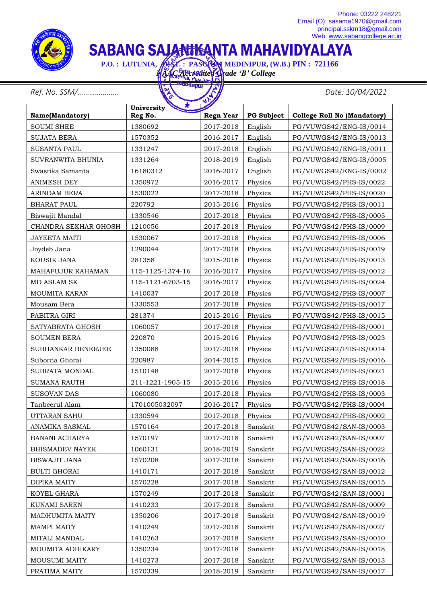

# SABANG SAJANIKANTA MAHAVIDYALAYA

 **P.O. : LUTUNIA, ALST. : PASCHIM MEDINIPUR, (W.B.) PIN : 721166** 

*NAAC Accredited Grade 'B' College* Harpur

*Ref. No. SSM/………………… Date: 10/04/2021*

| v.<br><b>Alist</b>     |                       |                  |                   |                                    |  |
|------------------------|-----------------------|------------------|-------------------|------------------------------------|--|
| Name(Mandatory)        | University<br>Reg No. | <b>Regn Year</b> | <b>PG Subject</b> | <b>College Roll No (Mandatory)</b> |  |
| <b>SOUMI SHEE</b>      | 1380692               | 2017-2018        | English           | PG/VUWGS42/ENG-IS/0014             |  |
| <b>SUJATA BERA</b>     | 1570352               | 2016-2017        | English           | PG/VUWGS42/ENG-IS/0013             |  |
| <b>SUSANTA PAUL</b>    | 1331247               | 2017-2018        | English           | PG/VUWGS42/ENG-IS/0011             |  |
| SUVRANWITA BHUNIA      | 1331264               | 2018-2019        | English           | PG/VUWGS42/ENG-IS/0005             |  |
| Swastika Samanta       | 16180312              | 2016-2017        | English           | PG/VUWGS42/ENG-IS/0002             |  |
| <b>ANIMESH DEY</b>     | 1350972               | 2016-2017        | Physics           | PG/VUWGS42/PHS-IS/0022             |  |
| ARINDAM BERA           | 1530022               | 2017-2018        | Physics           | PG/VUWGS42/PHS-IS/0020             |  |
| <b>BHARAT PAUL</b>     | 220792                | 2015-2016        | Physics           | PG/VUWGS42/PHS-IS/0011             |  |
| Biswajit Mandal        | 1330546               | 2017-2018        | Physics           | PG/VUWGS42/PHS-IS/0005             |  |
| CHANDRA SEKHAR GHOSH   | 1210056               | 2017-2018        | Physics           | PG/VUWGS42/PHS-IS/0009             |  |
| <b>JAYEETA MAITI</b>   | 1530067               | 2017-2018        | Physics           | PG/VUWGS42/PHS-IS/0006             |  |
| Joydeb Jana            | 1290044               | 2017-2018        | Physics           | PG/VUWGS42/PHS-IS/0019             |  |
| KOUSIK JANA            | 281358                | 2015-2016        | Physics           | PG/VUWGS42/PHS-IS/0013             |  |
| MAHAFUJUR RAHAMAN      | 115-1125-1374-16      | 2016-2017        | Physics           | PG/VUWGS42/PHS-IS/0012             |  |
| MD ASLAM SK            | 115-1121-6703-15      | 2016-2017        | Physics           | PG/VUWGS42/PHS-IS/0024             |  |
| MOUMITA KARAN          | 1410037               | 2017-2018        | Physics           | PG/VUWGS42/PHS-IS/0007             |  |
| Mousam Bera            | 1330553               | 2017-2018        | Physics           | PG/VUWGS42/PHS-IS/0017             |  |
| PABITRA GIRI           | 281374                | 2015-2016        | Physics           | PG/VUWGS42/PHS-IS/0015             |  |
| SATYABRATA GHOSH       | 1060057               | 2017-2018        | Physics           | PG/VUWGS42/PHS-IS/0001             |  |
| <b>SOUMEN BERA</b>     | 220870                | 2015-2016        | Physics           | PG/VUWGS42/PHS-IS/0023             |  |
| SUBHANKAR BENERJEE     | 1350088               | 2017-2018        | Physics           | PG/VUWGS42/PHS-IS/0014             |  |
| Suborna Ghorai         | 220987                | 2014-2015        | Physics           | PG/VUWGS42/PHS-IS/0016             |  |
| SUBRATA MONDAL         | 1510148               | 2017-2018        | Physics           | PG/VUWGS42/PHS-IS/0021             |  |
| <b>SUMANA RAUTH</b>    | 211-1221-1905-15      | 2015-2016        | Physics           | PG/VUWGS42/PHS-IS/0018             |  |
| <b>SUSOVAN DAS</b>     | 1060080               | 2017-2018        | Physics           | PG/VUWGS42/PHS-IS/0003             |  |
| Tanbeerul Alam         | 1701005032097         | 2016-2017        | Physics           | PG/VUWGS42/PHS-IS/0004             |  |
| UTTARAN SAHU           | 1330594               | 2017-2018        | Physics           | PG/VUWGS42/PHS-IS/0002             |  |
| ANAMIKA SASMAL         | 1570164               | 2017-2018        | Sanskrit          | PG/VUWGS42/SAN-IS/0003             |  |
| <b>BANANI ACHARYA</b>  | 1570197               | 2017-2018        | Sanskrit          | PG/VUWGS42/SAN-IS/0007             |  |
| <b>BHISMADEV NAYEK</b> | 1060131               | 2018-2019        | Sanskrit          | PG/VUWGS42/SAN-IS/0022             |  |
| <b>BISWAJIT JANA</b>   | 1570208               | 2017-2018        | Sanskrit          | PG/VUWGS42/SAN-IS/0016             |  |
| <b>BULTI GHORAI</b>    | 1410171               | 2017-2018        | Sanskrit          | PG/VUWGS42/SAN-IS/0012             |  |
| DIPIKA MAITY           | 1570228               | 2017-2018        | Sanskrit          | PG/VUWGS42/SAN-IS/0015             |  |
| KOYEL GHARA            | 1570249               | 2017-2018        | Sanskrit          | PG/VUWGS42/SAN-IS/0001             |  |
| KUNAMI SAREN           | 1410233               | 2017-2018        | Sanskrit          | PG/VUWGS42/SAN-IS/0009             |  |
| MADHUMITA MAITY        | 1350206               | 2017-2018        | Sanskrit          | PG/VUWGS42/SAN-IS/0019             |  |
| <b>MAMPI MAITY</b>     | 1410249               | 2017-2018        | Sanskrit          | PG/VUWGS42/SAN-IS/0027             |  |
| MITALI MANDAL          | 1410263               | 2017-2018        | Sanskrit          | PG/VUWGS42/SAN-IS/0010             |  |
| MOUMITA ADHIKARY       | 1350234               | 2017-2018        | Sanskrit          | PG/VUWGS42/SAN-IS/0018             |  |
| MOUSUMI MAITY          | 1410273               | 2017-2018        | Sanskrit          | PG/VUWGS42/SAN-IS/0013             |  |
| PRATIMA MAITY          | 1570339               | 2018-2019        | Sanskrit          | PG/VUWGS42/SAN-IS/0017             |  |